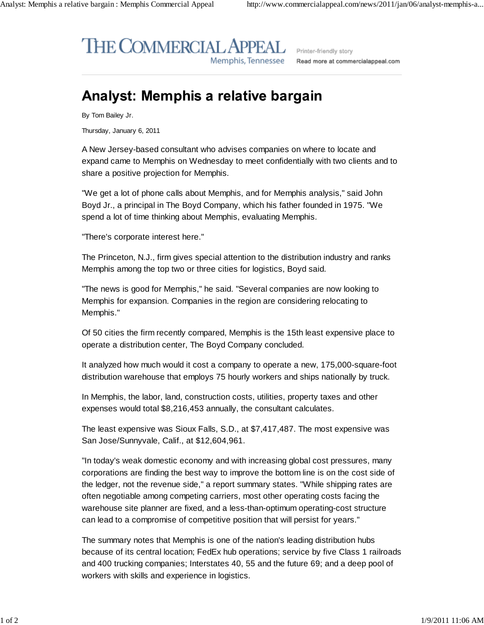## **THE COMMERCIAL APPEAL** Memphis, Tennessee

Printer-friendly story Read more at commercialappeal.com

## **Analyst: Memphis a relative bargain**

By Tom Bailey Jr.

Thursday, January 6, 2011

A New Jersey-based consultant who advises companies on where to locate and expand came to Memphis on Wednesday to meet confidentially with two clients and to share a positive projection for Memphis.

"We get a lot of phone calls about Memphis, and for Memphis analysis," said John Boyd Jr., a principal in The Boyd Company, which his father founded in 1975. "We spend a lot of time thinking about Memphis, evaluating Memphis.

"There's corporate interest here."

The Princeton, N.J., firm gives special attention to the distribution industry and ranks Memphis among the top two or three cities for logistics, Boyd said.

"The news is good for Memphis," he said. "Several companies are now looking to Memphis for expansion. Companies in the region are considering relocating to Memphis."

Of 50 cities the firm recently compared, Memphis is the 15th least expensive place to operate a distribution center, The Boyd Company concluded.

It analyzed how much would it cost a company to operate a new, 175,000-square-foot distribution warehouse that employs 75 hourly workers and ships nationally by truck.

In Memphis, the labor, land, construction costs, utilities, property taxes and other expenses would total \$8,216,453 annually, the consultant calculates.

The least expensive was Sioux Falls, S.D., at \$7,417,487. The most expensive was San Jose/Sunnyvale, Calif., at \$12,604,961.

"In today's weak domestic economy and with increasing global cost pressures, many corporations are finding the best way to improve the bottom line is on the cost side of the ledger, not the revenue side," a report summary states. "While shipping rates are often negotiable among competing carriers, most other operating costs facing the warehouse site planner are fixed, and a less-than-optimum operating-cost structure can lead to a compromise of competitive position that will persist for years."

The summary notes that Memphis is one of the nation's leading distribution hubs because of its central location; FedEx hub operations; service by five Class 1 railroads and 400 trucking companies; Interstates 40, 55 and the future 69; and a deep pool of workers with skills and experience in logistics.